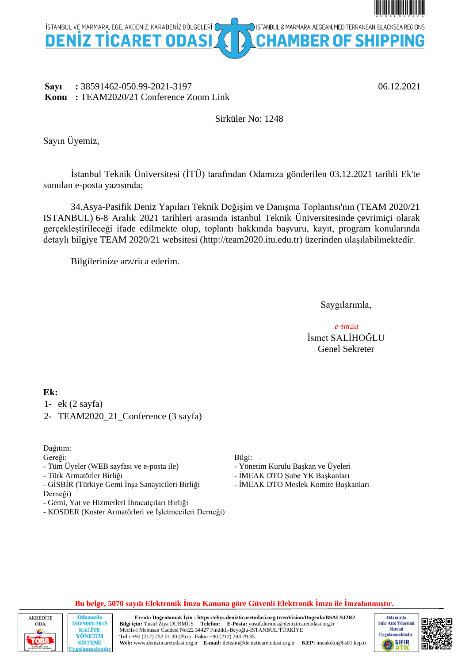

# **Sayı :** 38591462-050.99-2021-3197 06.12.2021 **Konu :** TEAM2020/21 Conference Zoom Link

# Sirküler No: 1248

Sayın Üyemiz,

İstanbul Teknik Üniversitesi (İTÜ) tarafından Odamıza gönderilen 03.12.2021 tarihli Ek'te sunulan e-posta yazısında;

34.Asya-Pasifik Deniz Yapıları Teknik Değişim ve Danışma Toplantısı'nın (TEAM 2020/21 ISTANBUL) 6-8 Aralık 2021 tarihleri arasında istanbul Teknik Üniversitesinde çevrimiçi olarak gerçekleştirileceği ifade edilmekte olup, toplantı hakkında başvuru, kayıt, program konularında detaylı bilgiye TEAM 2020/21 websitesi (http://team2020.itu.edu.tr) üzerinden ulaşılabilmektedir.

Bilgilerinize arz/rica ederim.

Saygılarımla,

*e-imza* İsmet SALİHOĞLU Genel Sekreter

# **Ek:**

- 1- ek (2 sayfa)
- 2- TEAM2020\_21\_Conference (3 sayfa)

Dağıtım:

Gereği:

- Tüm Üyeler (WEB sayfası ve e-posta ile)
- Türk Armatörler Birliği
- GİSBİR (Türkiye Gemi İnşa Sanayicileri Birliği Derneği)
- Gemi, Yat ve Hizmetleri İhracatçıları Birliği
- KOSDER (Koster Armatörleri ve İşletmecileri Derneği)

# Bilgi:

- Yönetim Kurulu Başkan ve Üyeleri
- İMEAK DTO Şube YK Başkanları
- İMEAK DTO Meslek Komite Başkanları





**Evrakı Doğrulamak İçin : https://ebys.denizticaretodasi.org.tr/enVision/Dogrula/BSALSJ2R2 Bilgi için:** Yusuf Ziya DURMUŞ **Telefon: E-Posta:** yusuf.durmus@denizticaretodasi.org.tr Meclis-i Mebusan Caddesi No:22 34427 Fındıklı-Beyoğlu-İSTANBUL/TÜRKİYE **Tel :** +90 (212) 252 01 30 (Pbx) **Faks:** +90 (212) 293 79 35 **Web:** www.denizticaretodasi.org.tr **E-mail:** iletisim@denizticaretodasi.org.tr **KEP:** imeakdto@hs01.kep.tr



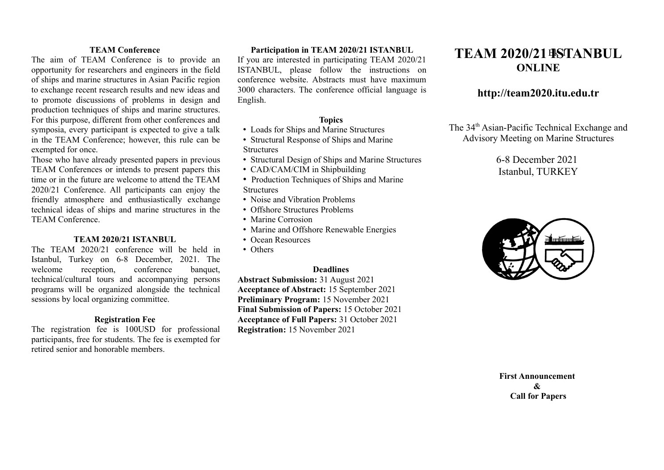### **TEAM Conference**

The aim of TEAM Conference is to provide an opportunity for researchers and engineers in the field of ships and marine structures in Asian Pacific region to exchange recent research results and new ideas and to promote discussions of problems in design and production techniques of ships and marine structures. For this purpose, different from other conferences and symposia, every participant is expected to give a talk in the TEAM Conference; however, this rule can be exempted for once.

Those who have already presented papers in previous TEAM Conferences or intends to present papers this time or in the future are welcome to attend the TEAM 2020/21 Conference. All participants can enjoy the friendly atmosphere and enthusiastically exchange technical ideas of ships and marine structures in the TEAM Conference.

## **TEAM 2020/21 ISTANBUL**

The TEAM 2020/21 conference will be held in Istanbul, Turkey on 6-8 December, 2021. The welcome reception, conference banquet, technical/cultural tours and accompanying persons programs will be organized alongside the technical sessions by local organizing committee.

### **Registration Fee**

The registration fee is 100USD for professional participants, free for students. The fee is exempted for retired senior and honorable members.

# **Participation in TEAM 2020/21 ISTANBUL**

If you are interested in participating TEAM 2020/21 ISTANBUL, please follow the instructions on conference website. Abstracts must have maximum 3000 characters. The conference official language is English.

# **Topics**

- Loads for Ships and Marine Structures
- Structural Response of Ships and Marine **Structures**
- Structural Design of Ships and Marine Structures
- CAD/CAM/CIM in Shipbuilding
- Production Techniques of Ships and Marine **Structures**
- Noise and Vibration Problems
- Offshore Structures Problems
- Marine Corrosion
- Marine and Offshore Renewable Energies
- Ocean Resources
- Others

# **Deadlines**

**Abstract Submission:** 31 August 2021 **Acceptance of Abstract:** 15 September 2021 **Preliminary Program:** 15 November 2021 **Final Submission of Papers:** 15 October 2021 **Acceptance of Full Papers:** 31 October 2021 **Registration:** 15 November 2021

# **TEAM 2020/21 ISTANBUL** Ek-1**ONLINE**

# **http://team2020.itu.edu.tr**

The 34<sup>th</sup> Asian-Pacific Technical Exchange and Advisory Meeting on Marine Structures

# 6-8 December 2021 Istanbul, TURKEY



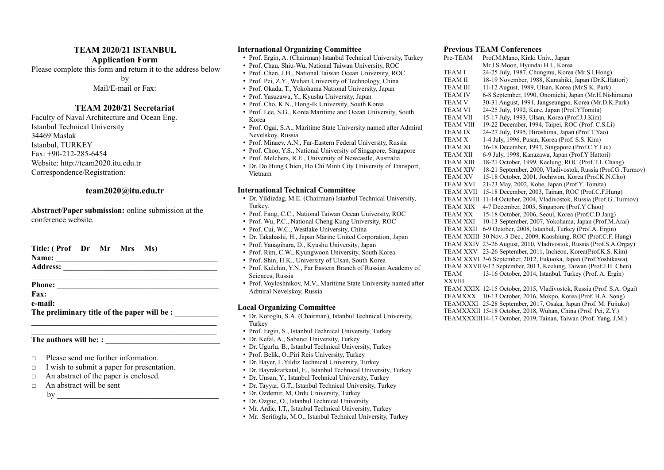### **TEAM 2020/21 ISTANBUL**

#### **Application Form**

Please complete this form and return it to the address below

by

Mail/E-mail or Fax:

### **TEAM 2020/21 Secretariat**

Faculty of Naval Architecture and Ocean Eng. Istanbul Technical University 34469 Maslak Istanbul, TURKEY Fax: +90-212-285-6454 Website: http://team2020.itu.edu.tr Correspondence/Registration:

# **team2020@itu.edu.tr**

**Abstract/Paper submission:** online submission at the conference website.

| Title: (Prof Dr Mr Mrs Ms)                   |  |  |  |  |
|----------------------------------------------|--|--|--|--|
| Name:                                        |  |  |  |  |
|                                              |  |  |  |  |
|                                              |  |  |  |  |
| Phone:                                       |  |  |  |  |
| <b>Fax:</b>                                  |  |  |  |  |
| e-mail:                                      |  |  |  |  |
| The preliminary title of the paper will be : |  |  |  |  |

 $\mathcal{L}_\text{max}$  and  $\mathcal{L}_\text{max}$  and  $\mathcal{L}_\text{max}$  and  $\mathcal{L}_\text{max}$  and  $\mathcal{L}_\text{max}$  $\mathcal{L}_\text{max}$  and  $\mathcal{L}_\text{max}$  and  $\mathcal{L}_\text{max}$  and  $\mathcal{L}_\text{max}$  and  $\mathcal{L}_\text{max}$ 

 $\_$  , and the set of the set of the set of the set of the set of the set of the set of the set of the set of the set of the set of the set of the set of the set of the set of the set of the set of the set of the set of th

### The authors will be: :

- □ Please send me further information.
- □ I wish to submit a paper for presentation.
- $\Box$  An abstract of the paper is enclosed.
- $\Box$  An abstract will be sent

 ${\rm bv}$ 

#### **International Organizing Committee**

- Prof. Ergin, A. (Chairman) Istanbul Technical University, Turkey
- Prof. Chau, Shiu-Wu, National Taiwan University, ROC
- Prof. Chen, J.H., National Taiwan Ocean University, ROC
- Prof. Pei, Z.Y., Wuhan University of Technology, China
- Prof. Okada, T., Yokohama National University, Japan
- Prof. Yasuzawa, Y., Kyushu University, Japan
- Prof. Cho, K.N., Hong-Ik University, South Korea
- Prof. Lee, S.G., Korea Maritime and Ocean University, South Korea
- Prof. Ogai, S.A., Maritime State University named after Admiral Nevelskoy, Russia
- Prof. Minaev, A.N., Far-Eastern Federal University, Russia
- Prof. Choo, Y.S., National University of Singapore, Singapore
- Prof. Melchers, R.E., University of Newcastle, Australia
- Dr. Do Hung Chien, Ho Chi Minh City University of Transport, Vietnam

#### **International Technical Committee**

- Dr. Yildizdag, M.E. (Chairman) Istanbul Technical University, **Turkey**
- Prof. Fang, C.C., National Taiwan Ocean University, ROC
- Prof. Wu, P.C., National Cheng Kung University, ROC
- Prof. Cui, W.C., Westlake University, China
- Dr. Takahashi, H., Japan Marine United Corporation, Japan
- Prof. Yanagihara, D., Kyushu University, Japan
- Prof. Rim, C.W., Kyungwoon University, South Korea
- Prof. Shin, H.K., University of Ulsan, South Korea
- Prof. Kulchin, Y.N., Far Eastern Branch of Russian Academy of Sciences, Russia
- Prof. Voyloshnikov, M.V., Maritime State University named after Admiral Nevelskoy, Russia

#### **Local Organizing Committee**

- Dr. Koroglu, S.A. (Chairman), Istanbul Technical University, Turkey
- Prof. Ergin, S., Istanbul Technical University, Turkey
- Dr. Kefal, A., Sabanci University, Turkey
- Dr. Ugurlu, B., Istanbul Technical University, Turkey
- Prof. Belik, O.,Piri Reis University, Turkey
- Dr. Bayer, I.,Yildiz Technical University, Turkey
- Dr. Bayraktarkatal, E., Istanbul Technical University, Turkey
- Dr. Unsan, Y., Istanbul Technical University, Turkey
- Dr. Tayyar, G.T., Istanbul Technical University, Turkey
- Dr. Ozdemir, M, Ordu University, Turkey
- Dr. Ozguc, O., Istanbul Technical University
- Mr. Ardic, I.T., Istanbul Technical University, Turkey
- Mr. Serifoglu, M.O., Istanbul Technical University, Turkey

# **Previous TEAM Conferences**<br>**Pre-TEAM** Prof.M.Mano, Kinki U

Prof.M.Mano, Kinki Univ., Japan Mr.J.S.Moon, Hyundai H.I., Korea TEAM I 24-25 July, 1987, Chungmu, Korea (Mr.S.I.Hong)<br>TEAM II 18-19 November, 1988, Kurashiki, Japan (Dr.K. H. 18-19 November, 1988, Kurashiki, Japan (Dr.K.Hattori) TEAM III 11-12 August, 1989, Ulsan, Korea (Mr.S.K. Park) TEAM IV 6-8 September, 1990, Onomichi, Japan (Mr.H.Nishimura) 30-31 August, 1991, Jangseungpo, Korea (Mr.D.K.Park) TEAM VI 24-25 July, 1992, Kure, Japan (Prof.YTomita) TEAM VII 15-17 July, 1993, Ulsan, Korea (Prof.J.J.Kim) TEAM VIII 19-22 December, 1994, Taipei, ROC (Prof. C.S.Li) TEAM IX 24-27 July, 1995, Hiroshima, Japan (Prof.T.Yao) TEAM X 1-4 July, 1996, Pusan, Korea (Prof. S.S. Kim)<br>TEAM XI 16-18 December 1997 Singapore (Prof. C.Y. I TEAM XI 16-18 December, 1997, Singapore (Prof.C.Y Liu) 6-9 July, 1998, Kanazawa, Japan (Prof.Y Hattori) TEAM XIII 18-21 October, 1999, Keelung, ROC (Prof.T.L.Chang) 18-21 September, 2000, Vladivostok, Russia (Prof.G. Turmov) TEAM XV 15-18 October, 2001, Jochiwon, Korea (Prof.K.N.Cho) TEAM XVI 21-23 May, 2002, Kobe, Japan (Prof.Y. Tomita) TEAM XVII 15-18 December, 2003, Tainan, ROC (Prof.C.F.Hung) TEAM XVIII 11-14 October, 2004, Vladivostok, Russia (Prof.G .Turmov) TEAM XIX 4-7 December, 2005, Singapore (Prof.Y Choo) TEAM XX 15-18 October, 2006, Seoul, Korea (Prof.C.D.Jang) TEAM XXI 10-13 September, 2007, Yokohama, Japan (Prof.M.Arai) TEAM XXII 6-9 October, 2008, Istanbul, Turkey (Prof.A. Ergin) TEAM XXIII 30 Nov.-3 Dec., 2009, Kaoshiung, ROC (Prof.C.F. Hung) TEAM XXIV 23-26 August, 2010, Vladivostok, Russia (Prof.S.A.Orgay) TEAM XXV 23-26 September, 2011, Incheon, Korea(Prof.K.S. Kim) TEAM XXVI 3-6 September, 2012, Fukuoka, Japan (Prof.Yoshikawa) TEAM XXVII9-12 September, 2013, Keelung, Taiwan (Prof.J.H. Chen) TEAM XXVIII 13-16 October, 2014, Istanbul, Turkey (Prof. A. Ergin) TEAM XXIX 12-15 October, 2015, Vladivostok, Russia (Prof. S.A. Ogai) TEAMXXX 10-13 October, 2016, Mokpo, Korea (Prof. H.A. Song) TEAMXXXI 25-28 September, 2017, Osaka, Japan (Prof. M. Fujiuko)

- TEAMXXXII 15-18 October, 2018, Wuhan, China (Prof. Pei, Z.Y.)
- TEAMXXXIII14-17 October, 2019, Tainan, Taiwan (Prof. Yang, J.M.)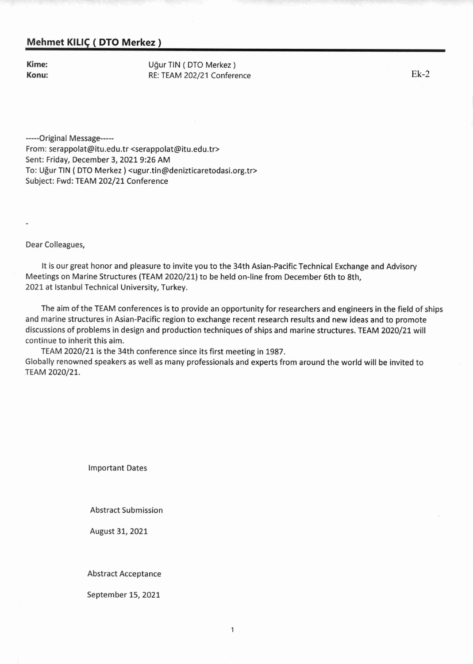# Mehmet KILIÇ (DTO Merkez)

Kime: Konu: Uğur TIN (DTO Merkez) RE: TEAM 202/21 Conference

 $Ek-2$ 

-----Original Message-----From: serappolat@itu.edu.tr <serappolat@itu.edu.tr> Sent: Friday, December 3, 2021 9:26 AM To: Uğur TIN (DTO Merkez) <ugur.tin@denizticaretodasi.org.tr> Subject: Fwd: TEAM 202/21 Conference

Dear Colleagues,

It is our great honor and pleasure to invite you to the 34th Asian-Pacific Technical Exchange and Advisory Meetings on Marine Structures (TEAM 2020/21) to be held on-line from December 6th to 8th, 2021 at Istanbul Technical University, Turkey.

The aim of the TEAM conferences is to provide an opportunity for researchers and engineers in the field of ships and marine structures in Asian-Pacific region to exchange recent research results and new ideas and to promote discussions of problems in design and production techniques of ships and marine structures. TEAM 2020/21 will continue to inherit this aim.

TEAM 2020/21 is the 34th conference since its first meeting in 1987. Globally renowned speakers as well as many professionals and experts from around the world will be invited to TEAM 2020/21.

**Important Dates** 

**Abstract Submission** 

August 31, 2021

**Abstract Acceptance** 

September 15, 2021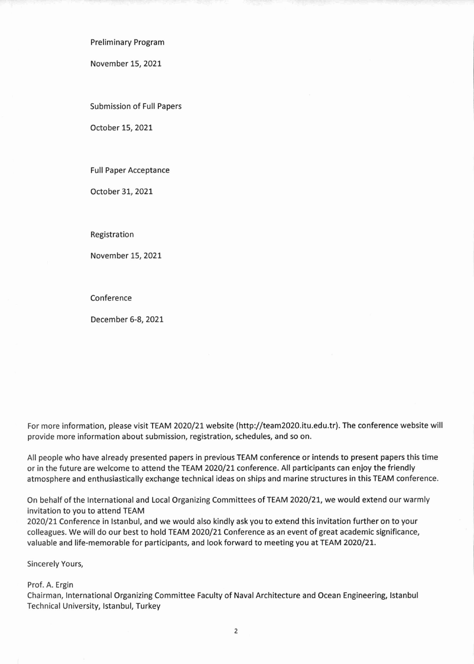**Preliminary Program** 

November 15, 2021

Submission of Full Papers

October 15, 2021

**Full Paper Acceptance** 

October 31, 2021

Registration

November 15, 2021

Conference

December 6-8, 2021

For more information, please visit TEAM 2020/21 website (http://team2020.itu.edu.tr). The conference website will provide more information about submission, registration, schedules, and so on.

All people who have already presented papers in previous TEAM conference or intends to present papers this time or in the future are welcome to attend the TEAM 2020/21 conference. All participants can enjoy the friendly atmosphere and enthusiastically exchange technical ideas on ships and marine structures in this TEAM conference.

On behalf of the International and Local Organizing Committees of TEAM 2020/21, we would extend our warmly invitation to you to attend TEAM

2020/21 Conference in Istanbul, and we would also kindly ask you to extend this invitation further on to your colleagues. We will do our best to hold TEAM 2020/21 Conference as an event of great academic significance, valuable and life-memorable for participants, and look forward to meeting you at TEAM 2020/21.

Sincerely Yours,

Prof. A. Ergin

Chairman, International Organizing Committee Faculty of Naval Architecture and Ocean Engineering, Istanbul Technical University, Istanbul, Turkey